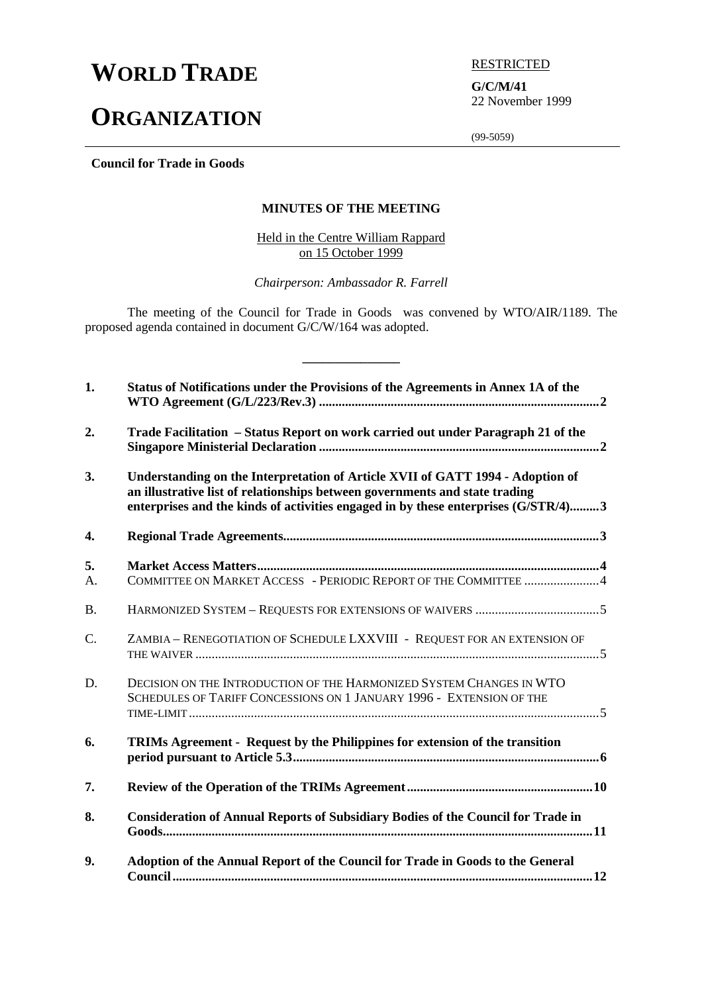# **WORLD TRADE EXECUTED**

## **ORGANIZATION**

**G/C/M/41** 22 November 1999

(99-5059)

**Council for Trade in Goods**

## **MINUTES OF THE MEETING**

Held in the Centre William Rappard on 15 October 1999

*Chairperson: Ambassador R. Farrell*

The meeting of the Council for Trade in Goods was convened by WTO/AIR/1189. The proposed agenda contained in document G/C/W/164 was adopted.

**\_\_\_\_\_\_\_\_\_\_\_\_\_\_\_**

| 1.        | Status of Notifications under the Provisions of the Agreements in Annex 1A of the                                                                                                                                                                   |  |
|-----------|-----------------------------------------------------------------------------------------------------------------------------------------------------------------------------------------------------------------------------------------------------|--|
| 2.        | Trade Facilitation – Status Report on work carried out under Paragraph 21 of the                                                                                                                                                                    |  |
| 3.        | Understanding on the Interpretation of Article XVII of GATT 1994 - Adoption of<br>an illustrative list of relationships between governments and state trading<br>enterprises and the kinds of activities engaged in by these enterprises (G/STR/4)3 |  |
| 4.        |                                                                                                                                                                                                                                                     |  |
| 5.        |                                                                                                                                                                                                                                                     |  |
| А.        | COMMITTEE ON MARKET ACCESS - PERIODIC REPORT OF THE COMMITTEE 4                                                                                                                                                                                     |  |
| <b>B.</b> |                                                                                                                                                                                                                                                     |  |
| C.        | ZAMBIA - RENEGOTIATION OF SCHEDULE LXXVIII - REQUEST FOR AN EXTENSION OF                                                                                                                                                                            |  |
| D.        | DECISION ON THE INTRODUCTION OF THE HARMONIZED SYSTEM CHANGES IN WTO<br>SCHEDULES OF TARIFF CONCESSIONS ON 1 JANUARY 1996 - EXTENSION OF THE                                                                                                        |  |
| 6.        | TRIMs Agreement - Request by the Philippines for extension of the transition                                                                                                                                                                        |  |
| 7.        |                                                                                                                                                                                                                                                     |  |
| 8.        | <b>Consideration of Annual Reports of Subsidiary Bodies of the Council for Trade in</b>                                                                                                                                                             |  |
| 9.        | Adoption of the Annual Report of the Council for Trade in Goods to the General                                                                                                                                                                      |  |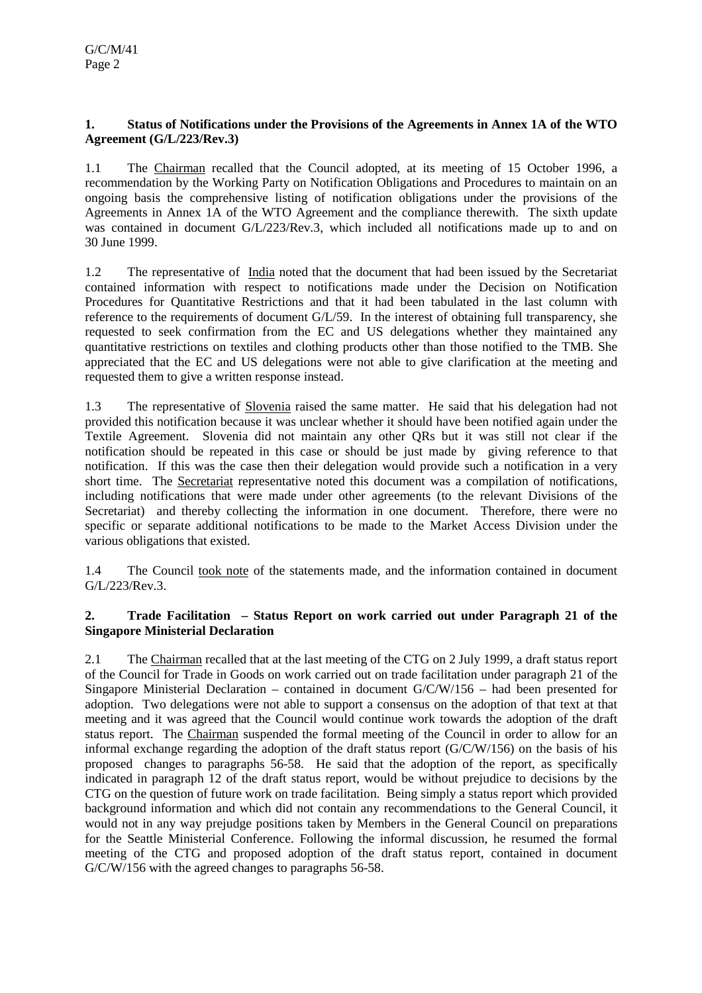## **1. Status of Notifications under the Provisions of the Agreements in Annex 1A of the WTO Agreement (G/L/223/Rev.3)**

1.1 The Chairman recalled that the Council adopted, at its meeting of 15 October 1996, a recommendation by the Working Party on Notification Obligations and Procedures to maintain on an ongoing basis the comprehensive listing of notification obligations under the provisions of the Agreements in Annex 1A of the WTO Agreement and the compliance therewith. The sixth update was contained in document G/L/223/Rev.3, which included all notifications made up to and on 30 June 1999.

1.2 The representative of India noted that the document that had been issued by the Secretariat contained information with respect to notifications made under the Decision on Notification Procedures for Quantitative Restrictions and that it had been tabulated in the last column with reference to the requirements of document G/L/59. In the interest of obtaining full transparency, she requested to seek confirmation from the EC and US delegations whether they maintained any quantitative restrictions on textiles and clothing products other than those notified to the TMB. She appreciated that the EC and US delegations were not able to give clarification at the meeting and requested them to give a written response instead.

1.3 The representative of Slovenia raised the same matter. He said that his delegation had not provided this notification because it was unclear whether it should have been notified again under the Textile Agreement. Slovenia did not maintain any other QRs but it was still not clear if the notification should be repeated in this case or should be just made by giving reference to that notification. If this was the case then their delegation would provide such a notification in a very short time. The Secretariat representative noted this document was a compilation of notifications, including notifications that were made under other agreements (to the relevant Divisions of the Secretariat) and thereby collecting the information in one document. Therefore, there were no specific or separate additional notifications to be made to the Market Access Division under the various obligations that existed.

1.4 The Council took note of the statements made, and the information contained in document G/L/223/Rev.3.

## **2. Trade Facilitation – Status Report on work carried out under Paragraph 21 of the Singapore Ministerial Declaration**

2.1 The Chairman recalled that at the last meeting of the CTG on 2 July 1999, a draft status report of the Council for Trade in Goods on work carried out on trade facilitation under paragraph 21 of the Singapore Ministerial Declaration – contained in document G/C/W/156 – had been presented for adoption. Two delegations were not able to support a consensus on the adoption of that text at that meeting and it was agreed that the Council would continue work towards the adoption of the draft status report. The Chairman suspended the formal meeting of the Council in order to allow for an informal exchange regarding the adoption of the draft status report (G/C/W/156) on the basis of his proposed changes to paragraphs 56-58. He said that the adoption of the report, as specifically indicated in paragraph 12 of the draft status report, would be without prejudice to decisions by the CTG on the question of future work on trade facilitation. Being simply a status report which provided background information and which did not contain any recommendations to the General Council, it would not in any way prejudge positions taken by Members in the General Council on preparations for the Seattle Ministerial Conference. Following the informal discussion, he resumed the formal meeting of the CTG and proposed adoption of the draft status report, contained in document G/C/W/156 with the agreed changes to paragraphs 56-58.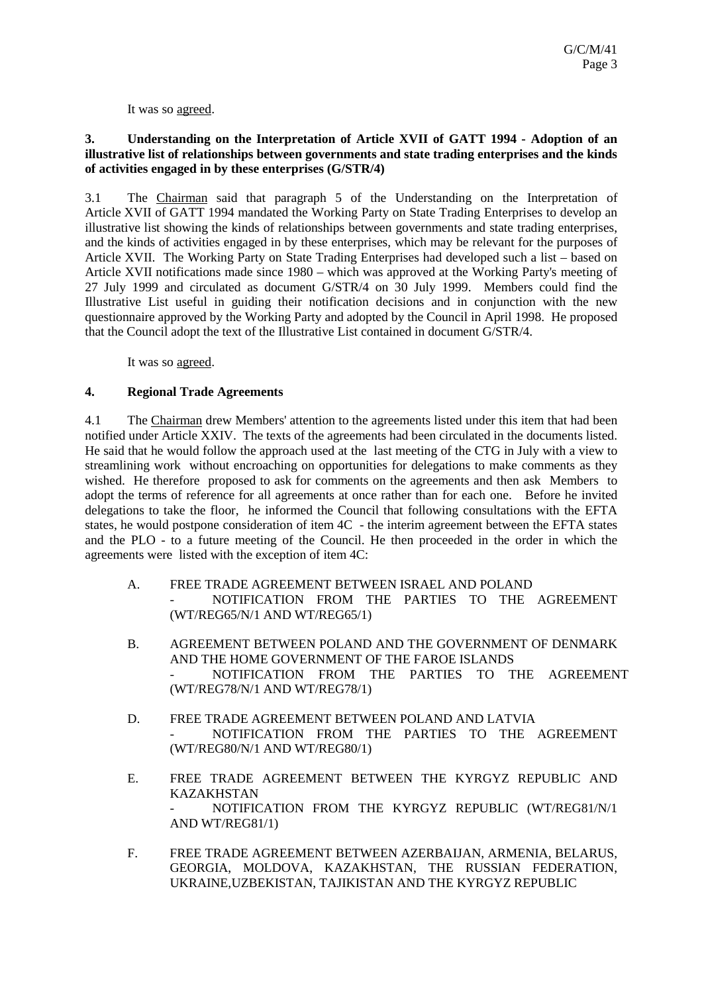It was so agreed.

## **3. Understanding on the Interpretation of Article XVII of GATT 1994 - Adoption of an illustrative list of relationships between governments and state trading enterprises and the kinds of activities engaged in by these enterprises (G/STR/4)**

3.1 The Chairman said that paragraph 5 of the Understanding on the Interpretation of Article XVII of GATT 1994 mandated the Working Party on State Trading Enterprises to develop an illustrative list showing the kinds of relationships between governments and state trading enterprises, and the kinds of activities engaged in by these enterprises, which may be relevant for the purposes of Article XVII. The Working Party on State Trading Enterprises had developed such a list – based on Article XVII notifications made since 1980 – which was approved at the Working Party's meeting of 27 July 1999 and circulated as document G/STR/4 on 30 July 1999. Members could find the Illustrative List useful in guiding their notification decisions and in conjunction with the new questionnaire approved by the Working Party and adopted by the Council in April 1998. He proposed that the Council adopt the text of the Illustrative List contained in document G/STR/4.

It was so agreed.

## **4. Regional Trade Agreements**

4.1 The Chairman drew Members' attention to the agreements listed under this item that had been notified under Article XXIV. The texts of the agreements had been circulated in the documents listed. He said that he would follow the approach used at the last meeting of the CTG in July with a view to streamlining work without encroaching on opportunities for delegations to make comments as they wished. He therefore proposed to ask for comments on the agreements and then ask Members to adopt the terms of reference for all agreements at once rather than for each one. Before he invited delegations to take the floor, he informed the Council that following consultations with the EFTA states, he would postpone consideration of item 4C - the interim agreement between the EFTA states and the PLO - to a future meeting of the Council. He then proceeded in the order in which the agreements were listed with the exception of item 4C:

- A. FREE TRADE AGREEMENT BETWEEN ISRAEL AND POLAND - NOTIFICATION FROM THE PARTIES TO THE AGREEMENT (WT/REG65/N/1 AND WT/REG65/1)
- B. AGREEMENT BETWEEN POLAND AND THE GOVERNMENT OF DENMARK AND THE HOME GOVERNMENT OF THE FAROE ISLANDS - NOTIFICATION FROM THE PARTIES TO THE AGREEMENT (WT/REG78/N/1 AND WT/REG78/1)
- D. FREE TRADE AGREEMENT BETWEEN POLAND AND LATVIA - NOTIFICATION FROM THE PARTIES TO THE AGREEMENT (WT/REG80/N/1 AND WT/REG80/1)
- E. FREE TRADE AGREEMENT BETWEEN THE KYRGYZ REPUBLIC AND KAZAKHSTAN - NOTIFICATION FROM THE KYRGYZ REPUBLIC (WT/REG81/N/1 AND WT/REG81/1)
- F. FREE TRADE AGREEMENT BETWEEN AZERBAIJAN, ARMENIA, BELARUS, GEORGIA, MOLDOVA, KAZAKHSTAN, THE RUSSIAN FEDERATION, UKRAINE,UZBEKISTAN, TAJIKISTAN AND THE KYRGYZ REPUBLIC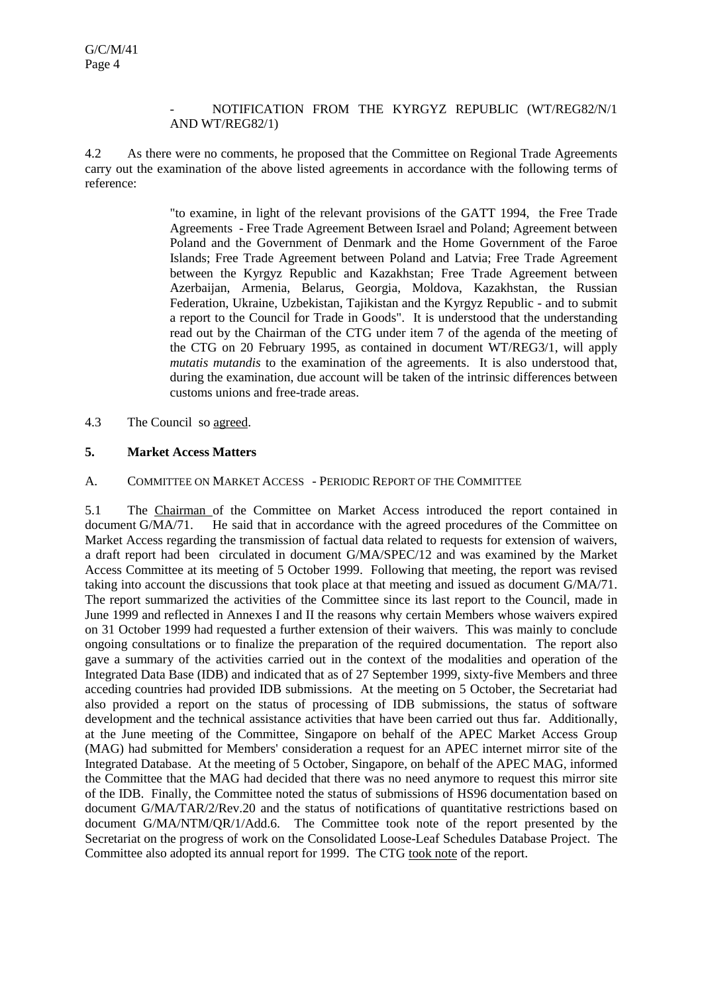#### - NOTIFICATION FROM THE KYRGYZ REPUBLIC (WT/REG82/N/1 AND WT/REG82/1)

4.2 As there were no comments, he proposed that the Committee on Regional Trade Agreements carry out the examination of the above listed agreements in accordance with the following terms of reference:

> "to examine, in light of the relevant provisions of the GATT 1994, the Free Trade Agreements - Free Trade Agreement Between Israel and Poland; Agreement between Poland and the Government of Denmark and the Home Government of the Faroe Islands; Free Trade Agreement between Poland and Latvia; Free Trade Agreement between the Kyrgyz Republic and Kazakhstan; Free Trade Agreement between Azerbaijan, Armenia, Belarus, Georgia, Moldova, Kazakhstan, the Russian Federation, Ukraine, Uzbekistan, Tajikistan and the Kyrgyz Republic - and to submit a report to the Council for Trade in Goods". It is understood that the understanding read out by the Chairman of the CTG under item 7 of the agenda of the meeting of the CTG on 20 February 1995, as contained in document WT/REG3/1, will apply *mutatis mutandis* to the examination of the agreements. It is also understood that, during the examination, due account will be taken of the intrinsic differences between customs unions and free-trade areas.

4.3 The Council so agreed.

## **5. Market Access Matters**

#### A. COMMITTEE ON MARKET ACCESS - PERIODIC REPORT OF THE COMMITTEE

5.1 The Chairman of the Committee on Market Access introduced the report contained in document G/MA/71. He said that in accordance with the agreed procedures of the Committee on Market Access regarding the transmission of factual data related to requests for extension of waivers, a draft report had been circulated in document G/MA/SPEC/12 and was examined by the Market Access Committee at its meeting of 5 October 1999. Following that meeting, the report was revised taking into account the discussions that took place at that meeting and issued as document G/MA/71. The report summarized the activities of the Committee since its last report to the Council, made in June 1999 and reflected in Annexes I and II the reasons why certain Members whose waivers expired on 31 October 1999 had requested a further extension of their waivers. This was mainly to conclude ongoing consultations or to finalize the preparation of the required documentation. The report also gave a summary of the activities carried out in the context of the modalities and operation of the Integrated Data Base (IDB) and indicated that as of 27 September 1999, sixty-five Members and three acceding countries had provided IDB submissions. At the meeting on 5 October, the Secretariat had also provided a report on the status of processing of IDB submissions, the status of software development and the technical assistance activities that have been carried out thus far. Additionally, at the June meeting of the Committee, Singapore on behalf of the APEC Market Access Group (MAG) had submitted for Members' consideration a request for an APEC internet mirror site of the Integrated Database. At the meeting of 5 October, Singapore, on behalf of the APEC MAG, informed the Committee that the MAG had decided that there was no need anymore to request this mirror site of the IDB. Finally, the Committee noted the status of submissions of HS96 documentation based on document G/MA/TAR/2/Rev.20 and the status of notifications of quantitative restrictions based on document G/MA/NTM/QR/1/Add.6. The Committee took note of the report presented by the Secretariat on the progress of work on the Consolidated Loose-Leaf Schedules Database Project. The Committee also adopted its annual report for 1999. The CTG took note of the report.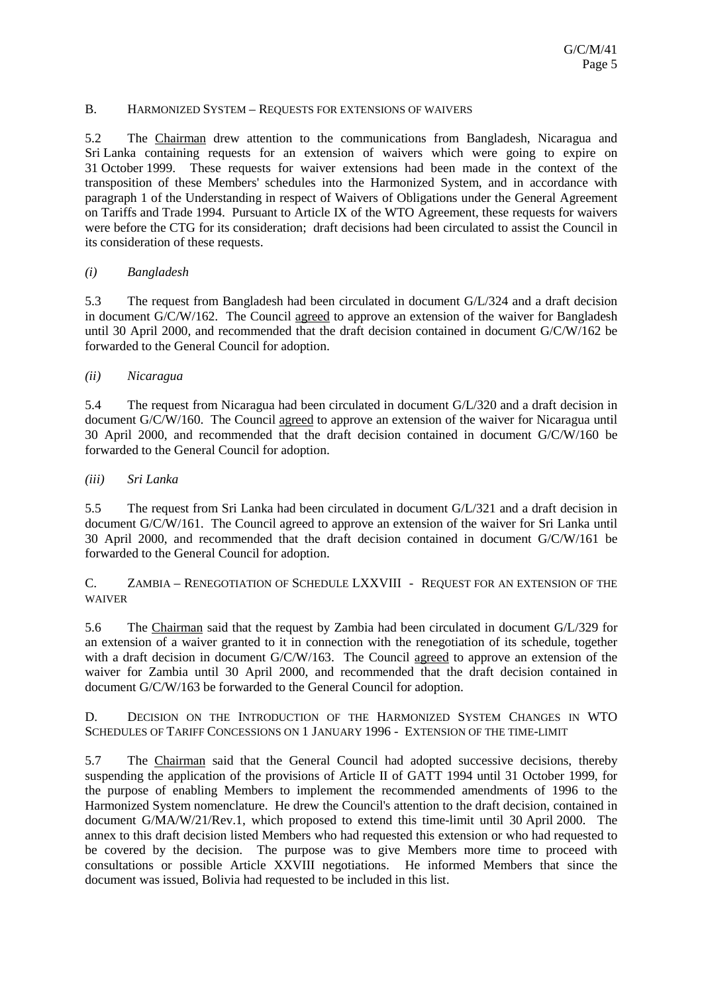## B. HARMONIZED SYSTEM – REQUESTS FOR EXTENSIONS OF WAIVERS

5.2 The Chairman drew attention to the communications from Bangladesh, Nicaragua and Sri Lanka containing requests for an extension of waivers which were going to expire on 31 October 1999. These requests for waiver extensions had been made in the context of the transposition of these Members' schedules into the Harmonized System, and in accordance with paragraph 1 of the Understanding in respect of Waivers of Obligations under the General Agreement on Tariffs and Trade 1994. Pursuant to Article IX of the WTO Agreement, these requests for waivers were before the CTG for its consideration; draft decisions had been circulated to assist the Council in its consideration of these requests.

## *(i) Bangladesh*

5.3 The request from Bangladesh had been circulated in document G/L/324 and a draft decision in document G/C/W/162. The Council agreed to approve an extension of the waiver for Bangladesh until 30 April 2000, and recommended that the draft decision contained in document G/C/W/162 be forwarded to the General Council for adoption.

## *(ii) Nicaragua*

5.4 The request from Nicaragua had been circulated in document G/L/320 and a draft decision in document G/C/W/160. The Council agreed to approve an extension of the waiver for Nicaragua until 30 April 2000, and recommended that the draft decision contained in document G/C/W/160 be forwarded to the General Council for adoption.

*(iii) Sri Lanka*

5.5 The request from Sri Lanka had been circulated in document G/L/321 and a draft decision in document G/C/W/161. The Council agreed to approve an extension of the waiver for Sri Lanka until 30 April 2000, and recommended that the draft decision contained in document G/C/W/161 be forwarded to the General Council for adoption.

C. ZAMBIA – RENEGOTIATION OF SCHEDULE LXXVIII - REQUEST FOR AN EXTENSION OF THE WAIVER

5.6 The Chairman said that the request by Zambia had been circulated in document G/L/329 for an extension of a waiver granted to it in connection with the renegotiation of its schedule, together with a draft decision in document G/C/W/163. The Council agreed to approve an extension of the waiver for Zambia until 30 April 2000, and recommended that the draft decision contained in document G/C/W/163 be forwarded to the General Council for adoption.

D. DECISION ON THE INTRODUCTION OF THE HARMONIZED SYSTEM CHANGES IN WTO SCHEDULES OF TARIFF CONCESSIONS ON 1 JANUARY 1996 - EXTENSION OF THE TIME-LIMIT

5.7 The Chairman said that the General Council had adopted successive decisions, thereby suspending the application of the provisions of Article II of GATT 1994 until 31 October 1999, for the purpose of enabling Members to implement the recommended amendments of 1996 to the Harmonized System nomenclature. He drew the Council's attention to the draft decision, contained in document G/MA/W/21/Rev.1, which proposed to extend this time-limit until 30 April 2000. The annex to this draft decision listed Members who had requested this extension or who had requested to be covered by the decision. The purpose was to give Members more time to proceed with consultations or possible Article XXVIII negotiations. He informed Members that since the document was issued, Bolivia had requested to be included in this list.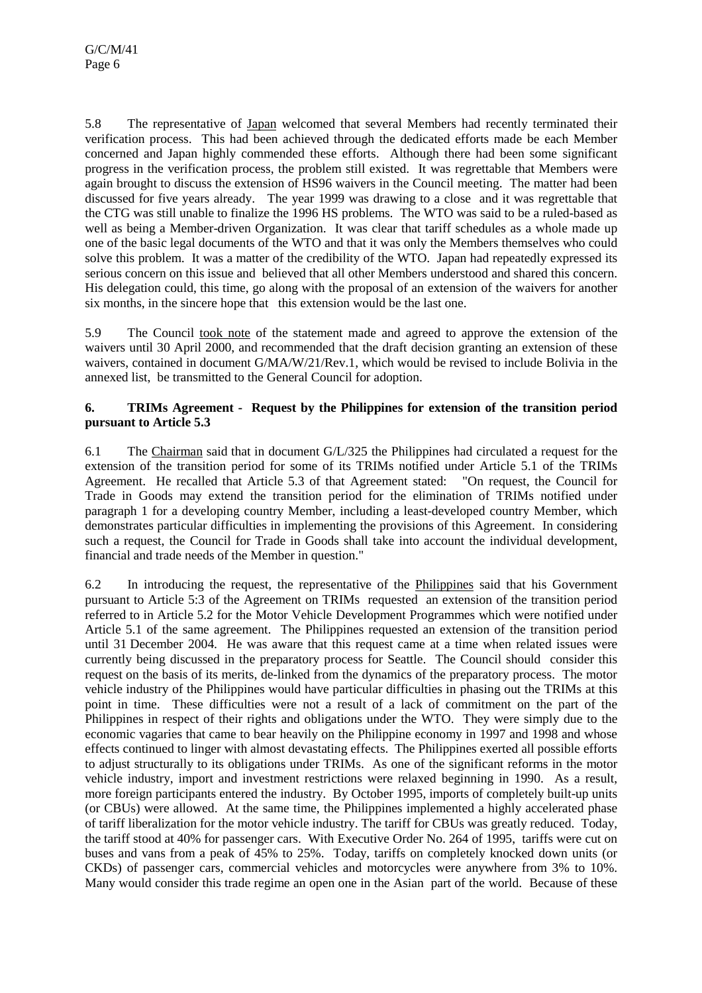5.8 The representative of Japan welcomed that several Members had recently terminated their verification process. This had been achieved through the dedicated efforts made be each Member concerned and Japan highly commended these efforts. Although there had been some significant progress in the verification process, the problem still existed. It was regrettable that Members were again brought to discuss the extension of HS96 waivers in the Council meeting. The matter had been discussed for five years already. The year 1999 was drawing to a close and it was regrettable that the CTG was still unable to finalize the 1996 HS problems. The WTO was said to be a ruled-based as well as being a Member-driven Organization. It was clear that tariff schedules as a whole made up one of the basic legal documents of the WTO and that it was only the Members themselves who could solve this problem. It was a matter of the credibility of the WTO. Japan had repeatedly expressed its serious concern on this issue and believed that all other Members understood and shared this concern. His delegation could, this time, go along with the proposal of an extension of the waivers for another six months, in the sincere hope that this extension would be the last one.

5.9 The Council took note of the statement made and agreed to approve the extension of the waivers until 30 April 2000, and recommended that the draft decision granting an extension of these waivers, contained in document G/MA/W/21/Rev.1, which would be revised to include Bolivia in the annexed list, be transmitted to the General Council for adoption.

## **6. TRIMs Agreement - Request by the Philippines for extension of the transition period pursuant to Article 5.3**

6.1 The Chairman said that in document G/L/325 the Philippines had circulated a request for the extension of the transition period for some of its TRIMs notified under Article 5.1 of the TRIMs Agreement. He recalled that Article 5.3 of that Agreement stated: "On request, the Council for Trade in Goods may extend the transition period for the elimination of TRIMs notified under paragraph 1 for a developing country Member, including a least-developed country Member, which demonstrates particular difficulties in implementing the provisions of this Agreement. In considering such a request, the Council for Trade in Goods shall take into account the individual development, financial and trade needs of the Member in question."

6.2 In introducing the request, the representative of the Philippines said that his Government pursuant to Article 5:3 of the Agreement on TRIMs requested an extension of the transition period referred to in Article 5.2 for the Motor Vehicle Development Programmes which were notified under Article 5.1 of the same agreement. The Philippines requested an extension of the transition period until 31 December 2004. He was aware that this request came at a time when related issues were currently being discussed in the preparatory process for Seattle. The Council should consider this request on the basis of its merits, de-linked from the dynamics of the preparatory process. The motor vehicle industry of the Philippines would have particular difficulties in phasing out the TRIMs at this point in time. These difficulties were not a result of a lack of commitment on the part of the Philippines in respect of their rights and obligations under the WTO. They were simply due to the economic vagaries that came to bear heavily on the Philippine economy in 1997 and 1998 and whose effects continued to linger with almost devastating effects. The Philippines exerted all possible efforts to adjust structurally to its obligations under TRIMs. As one of the significant reforms in the motor vehicle industry, import and investment restrictions were relaxed beginning in 1990. As a result, more foreign participants entered the industry. By October 1995, imports of completely built-up units (or CBUs) were allowed. At the same time, the Philippines implemented a highly accelerated phase of tariff liberalization for the motor vehicle industry. The tariff for CBUs was greatly reduced. Today, the tariff stood at 40% for passenger cars. With Executive Order No. 264 of 1995, tariffs were cut on buses and vans from a peak of 45% to 25%. Today, tariffs on completely knocked down units (or CKDs) of passenger cars, commercial vehicles and motorcycles were anywhere from 3% to 10%. Many would consider this trade regime an open one in the Asian part of the world. Because of these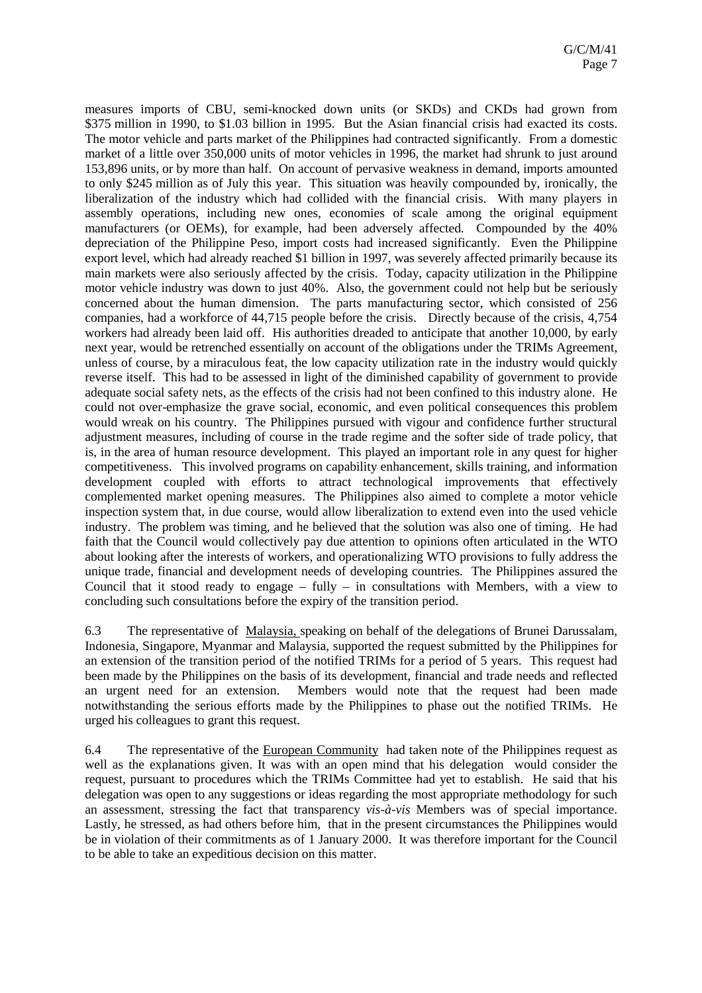measures imports of CBU, semi-knocked down units (or SKDs) and CKDs had grown from \$375 million in 1990, to \$1.03 billion in 1995. But the Asian financial crisis had exacted its costs. The motor vehicle and parts market of the Philippines had contracted significantly. From a domestic market of a little over 350,000 units of motor vehicles in 1996, the market had shrunk to just around 153,896 units, or by more than half. On account of pervasive weakness in demand, imports amounted to only \$245 million as of July this year. This situation was heavily compounded by, ironically, the liberalization of the industry which had collided with the financial crisis. With many players in assembly operations, including new ones, economies of scale among the original equipment manufacturers (or OEMs), for example, had been adversely affected. Compounded by the 40% depreciation of the Philippine Peso, import costs had increased significantly. Even the Philippine export level, which had already reached \$1 billion in 1997, was severely affected primarily because its main markets were also seriously affected by the crisis. Today, capacity utilization in the Philippine motor vehicle industry was down to just 40%. Also, the government could not help but be seriously concerned about the human dimension. The parts manufacturing sector, which consisted of 256 companies, had a workforce of 44,715 people before the crisis. Directly because of the crisis, 4,754 workers had already been laid off. His authorities dreaded to anticipate that another 10,000, by early next year, would be retrenched essentially on account of the obligations under the TRIMs Agreement, unless of course, by a miraculous feat, the low capacity utilization rate in the industry would quickly reverse itself. This had to be assessed in light of the diminished capability of government to provide adequate social safety nets, as the effects of the crisis had not been confined to this industry alone. He could not over-emphasize the grave social, economic, and even political consequences this problem would wreak on his country. The Philippines pursued with vigour and confidence further structural adjustment measures, including of course in the trade regime and the softer side of trade policy, that is, in the area of human resource development. This played an important role in any quest for higher competitiveness. This involved programs on capability enhancement, skills training, and information development coupled with efforts to attract technological improvements that effectively complemented market opening measures. The Philippines also aimed to complete a motor vehicle inspection system that, in due course, would allow liberalization to extend even into the used vehicle industry. The problem was timing, and he believed that the solution was also one of timing. He had faith that the Council would collectively pay due attention to opinions often articulated in the WTO about looking after the interests of workers, and operationalizing WTO provisions to fully address the unique trade, financial and development needs of developing countries. The Philippines assured the Council that it stood ready to engage – fully – in consultations with Members, with a view to concluding such consultations before the expiry of the transition period.

6.3 The representative of Malaysia, speaking on behalf of the delegations of Brunei Darussalam, Indonesia, Singapore, Myanmar and Malaysia, supported the request submitted by the Philippines for an extension of the transition period of the notified TRIMs for a period of 5 years. This request had been made by the Philippines on the basis of its development, financial and trade needs and reflected an urgent need for an extension. Members would note that the request had been made notwithstanding the serious efforts made by the Philippines to phase out the notified TRIMs. He urged his colleagues to grant this request.

6.4 The representative of the European Community had taken note of the Philippines request as well as the explanations given. It was with an open mind that his delegation would consider the request, pursuant to procedures which the TRIMs Committee had yet to establish. He said that his delegation was open to any suggestions or ideas regarding the most appropriate methodology for such an assessment, stressing the fact that transparency *vis-à-vis* Members was of special importance. Lastly, he stressed, as had others before him, that in the present circumstances the Philippines would be in violation of their commitments as of 1 January 2000. It was therefore important for the Council to be able to take an expeditious decision on this matter.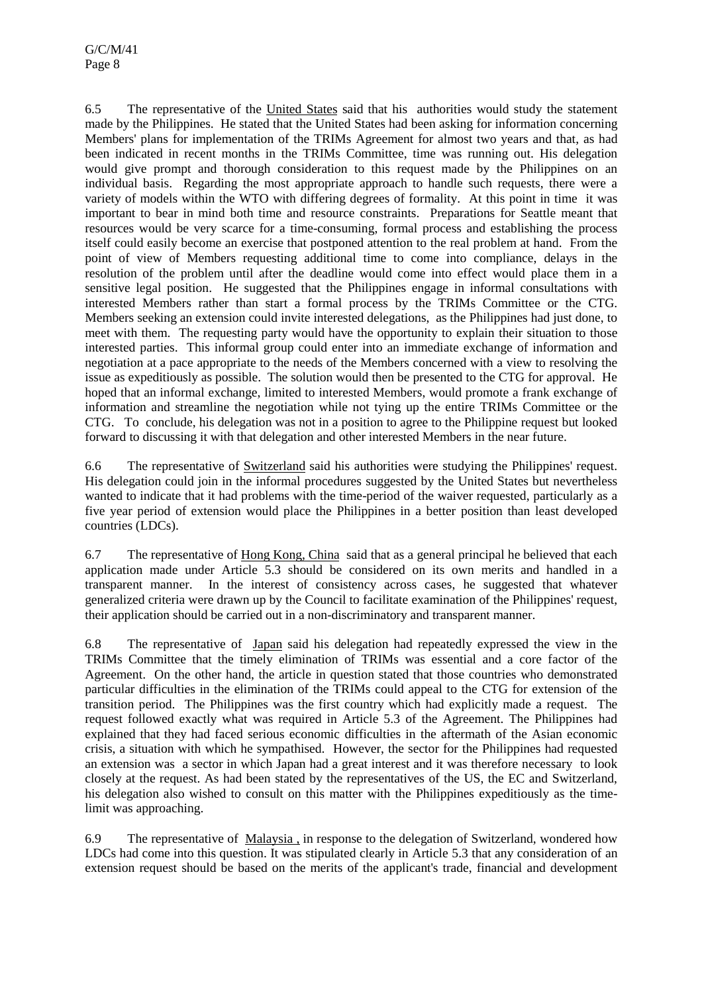6.5 The representative of the United States said that his authorities would study the statement made by the Philippines. He stated that the United States had been asking for information concerning Members' plans for implementation of the TRIMs Agreement for almost two years and that, as had been indicated in recent months in the TRIMs Committee, time was running out. His delegation would give prompt and thorough consideration to this request made by the Philippines on an individual basis. Regarding the most appropriate approach to handle such requests, there were a variety of models within the WTO with differing degrees of formality. At this point in time it was important to bear in mind both time and resource constraints. Preparations for Seattle meant that resources would be very scarce for a time-consuming, formal process and establishing the process itself could easily become an exercise that postponed attention to the real problem at hand. From the point of view of Members requesting additional time to come into compliance, delays in the resolution of the problem until after the deadline would come into effect would place them in a sensitive legal position. He suggested that the Philippines engage in informal consultations with interested Members rather than start a formal process by the TRIMs Committee or the CTG. Members seeking an extension could invite interested delegations, as the Philippines had just done, to meet with them. The requesting party would have the opportunity to explain their situation to those interested parties. This informal group could enter into an immediate exchange of information and negotiation at a pace appropriate to the needs of the Members concerned with a view to resolving the issue as expeditiously as possible. The solution would then be presented to the CTG for approval. He hoped that an informal exchange, limited to interested Members, would promote a frank exchange of information and streamline the negotiation while not tying up the entire TRIMs Committee or the CTG. To conclude, his delegation was not in a position to agree to the Philippine request but looked forward to discussing it with that delegation and other interested Members in the near future.

6.6 The representative of Switzerland said his authorities were studying the Philippines' request. His delegation could join in the informal procedures suggested by the United States but nevertheless wanted to indicate that it had problems with the time-period of the waiver requested, particularly as a five year period of extension would place the Philippines in a better position than least developed countries (LDCs).

6.7 The representative of Hong Kong, China said that as a general principal he believed that each application made under Article 5.3 should be considered on its own merits and handled in a transparent manner. In the interest of consistency across cases, he suggested that whatever generalized criteria were drawn up by the Council to facilitate examination of the Philippines' request, their application should be carried out in a non-discriminatory and transparent manner.

6.8 The representative of Japan said his delegation had repeatedly expressed the view in the TRIMs Committee that the timely elimination of TRIMs was essential and a core factor of the Agreement. On the other hand, the article in question stated that those countries who demonstrated particular difficulties in the elimination of the TRIMs could appeal to the CTG for extension of the transition period. The Philippines was the first country which had explicitly made a request. The request followed exactly what was required in Article 5.3 of the Agreement. The Philippines had explained that they had faced serious economic difficulties in the aftermath of the Asian economic crisis, a situation with which he sympathised. However, the sector for the Philippines had requested an extension was a sector in which Japan had a great interest and it was therefore necessary to look closely at the request. As had been stated by the representatives of the US, the EC and Switzerland, his delegation also wished to consult on this matter with the Philippines expeditiously as the timelimit was approaching.

6.9 The representative of Malaysia , in response to the delegation of Switzerland, wondered how LDCs had come into this question. It was stipulated clearly in Article 5.3 that any consideration of an extension request should be based on the merits of the applicant's trade, financial and development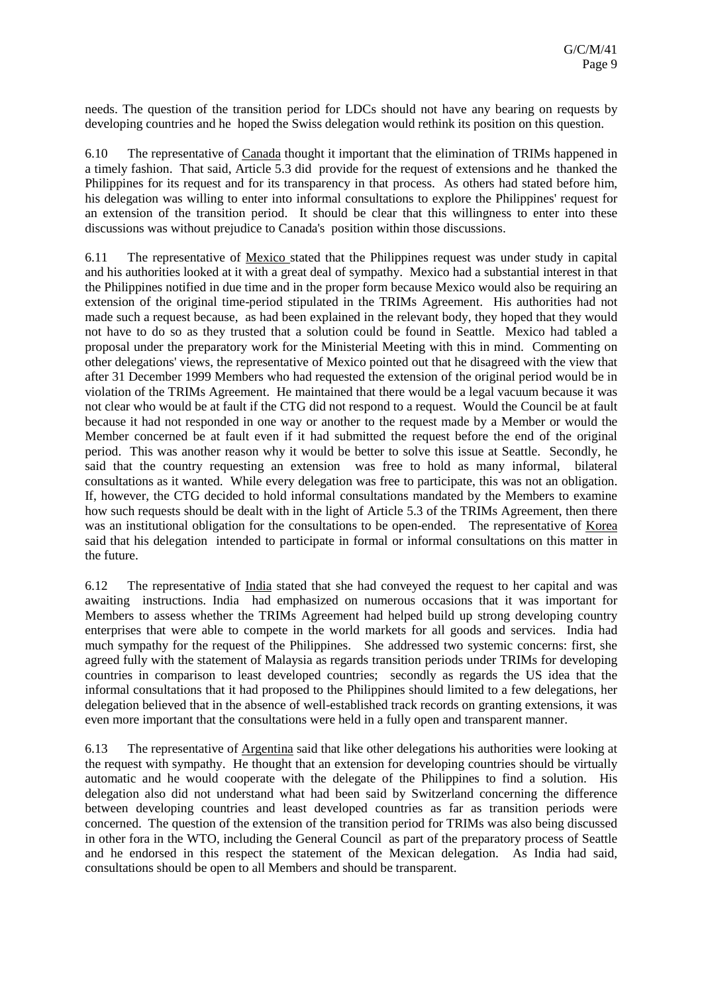needs. The question of the transition period for LDCs should not have any bearing on requests by developing countries and he hoped the Swiss delegation would rethink its position on this question.

6.10 The representative of Canada thought it important that the elimination of TRIMs happened in a timely fashion. That said, Article 5.3 did provide for the request of extensions and he thanked the Philippines for its request and for its transparency in that process. As others had stated before him, his delegation was willing to enter into informal consultations to explore the Philippines' request for an extension of the transition period. It should be clear that this willingness to enter into these discussions was without prejudice to Canada's position within those discussions.

6.11 The representative of Mexico stated that the Philippines request was under study in capital and his authorities looked at it with a great deal of sympathy. Mexico had a substantial interest in that the Philippines notified in due time and in the proper form because Mexico would also be requiring an extension of the original time-period stipulated in the TRIMs Agreement. His authorities had not made such a request because, as had been explained in the relevant body, they hoped that they would not have to do so as they trusted that a solution could be found in Seattle. Mexico had tabled a proposal under the preparatory work for the Ministerial Meeting with this in mind. Commenting on other delegations' views, the representative of Mexico pointed out that he disagreed with the view that after 31 December 1999 Members who had requested the extension of the original period would be in violation of the TRIMs Agreement. He maintained that there would be a legal vacuum because it was not clear who would be at fault if the CTG did not respond to a request. Would the Council be at fault because it had not responded in one way or another to the request made by a Member or would the Member concerned be at fault even if it had submitted the request before the end of the original period. This was another reason why it would be better to solve this issue at Seattle. Secondly, he said that the country requesting an extension was free to hold as many informal, bilateral consultations as it wanted. While every delegation was free to participate, this was not an obligation. If, however, the CTG decided to hold informal consultations mandated by the Members to examine how such requests should be dealt with in the light of Article 5.3 of the TRIMs Agreement, then there was an institutional obligation for the consultations to be open-ended. The representative of Korea said that his delegation intended to participate in formal or informal consultations on this matter in the future.

6.12 The representative of India stated that she had conveyed the request to her capital and was awaiting instructions. India had emphasized on numerous occasions that it was important for Members to assess whether the TRIMs Agreement had helped build up strong developing country enterprises that were able to compete in the world markets for all goods and services. India had much sympathy for the request of the Philippines. She addressed two systemic concerns: first, she agreed fully with the statement of Malaysia as regards transition periods under TRIMs for developing countries in comparison to least developed countries; secondly as regards the US idea that the informal consultations that it had proposed to the Philippines should limited to a few delegations, her delegation believed that in the absence of well-established track records on granting extensions, it was even more important that the consultations were held in a fully open and transparent manner.

6.13 The representative of Argentina said that like other delegations his authorities were looking at the request with sympathy. He thought that an extension for developing countries should be virtually automatic and he would cooperate with the delegate of the Philippines to find a solution. His delegation also did not understand what had been said by Switzerland concerning the difference between developing countries and least developed countries as far as transition periods were concerned. The question of the extension of the transition period for TRIMs was also being discussed in other fora in the WTO, including the General Council as part of the preparatory process of Seattle and he endorsed in this respect the statement of the Mexican delegation. As India had said, consultations should be open to all Members and should be transparent.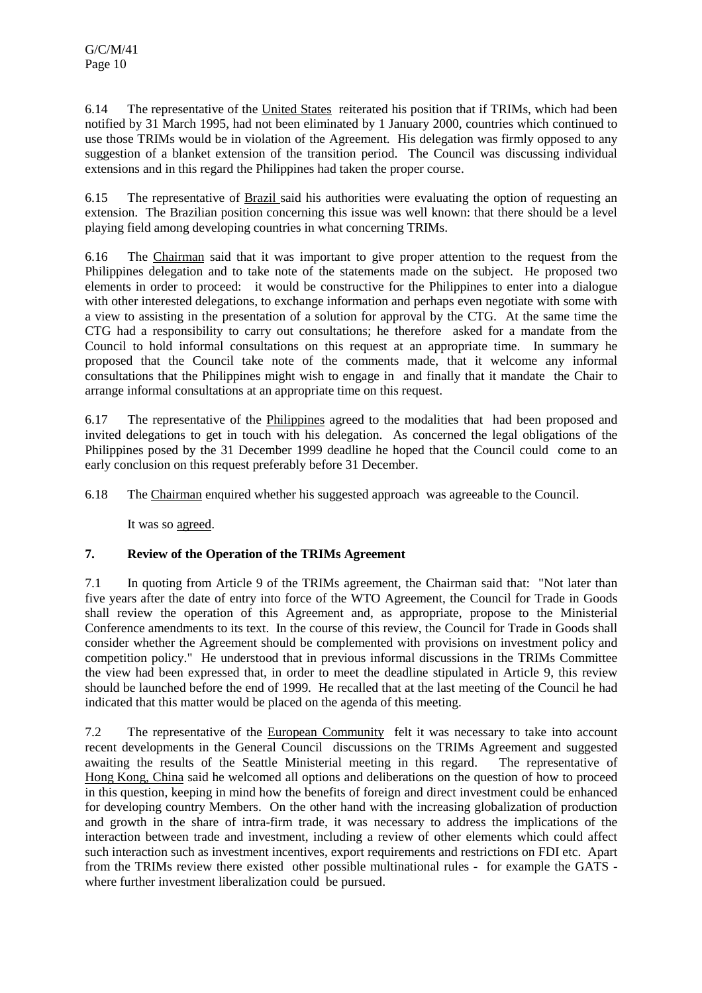6.14 The representative of the United States reiterated his position that if TRIMs, which had been notified by 31 March 1995, had not been eliminated by 1 January 2000, countries which continued to use those TRIMs would be in violation of the Agreement. His delegation was firmly opposed to any suggestion of a blanket extension of the transition period. The Council was discussing individual extensions and in this regard the Philippines had taken the proper course.

6.15 The representative of Brazil said his authorities were evaluating the option of requesting an extension. The Brazilian position concerning this issue was well known: that there should be a level playing field among developing countries in what concerning TRIMs.

6.16 The Chairman said that it was important to give proper attention to the request from the Philippines delegation and to take note of the statements made on the subject. He proposed two elements in order to proceed: it would be constructive for the Philippines to enter into a dialogue with other interested delegations, to exchange information and perhaps even negotiate with some with a view to assisting in the presentation of a solution for approval by the CTG. At the same time the CTG had a responsibility to carry out consultations; he therefore asked for a mandate from the Council to hold informal consultations on this request at an appropriate time. In summary he proposed that the Council take note of the comments made, that it welcome any informal consultations that the Philippines might wish to engage in and finally that it mandate the Chair to arrange informal consultations at an appropriate time on this request.

6.17 The representative of the Philippines agreed to the modalities that had been proposed and invited delegations to get in touch with his delegation. As concerned the legal obligations of the Philippines posed by the 31 December 1999 deadline he hoped that the Council could come to an early conclusion on this request preferably before 31 December.

6.18 The Chairman enquired whether his suggested approach was agreeable to the Council.

It was so agreed.

## **7. Review of the Operation of the TRIMs Agreement**

7.1 In quoting from Article 9 of the TRIMs agreement, the Chairman said that: "Not later than five years after the date of entry into force of the WTO Agreement, the Council for Trade in Goods shall review the operation of this Agreement and, as appropriate, propose to the Ministerial Conference amendments to its text. In the course of this review, the Council for Trade in Goods shall consider whether the Agreement should be complemented with provisions on investment policy and competition policy." He understood that in previous informal discussions in the TRIMs Committee the view had been expressed that, in order to meet the deadline stipulated in Article 9, this review should be launched before the end of 1999. He recalled that at the last meeting of the Council he had indicated that this matter would be placed on the agenda of this meeting.

7.2 The representative of the European Community felt it was necessary to take into account recent developments in the General Council discussions on the TRIMs Agreement and suggested awaiting the results of the Seattle Ministerial meeting in this regard. The representative of Hong Kong, China said he welcomed all options and deliberations on the question of how to proceed in this question, keeping in mind how the benefits of foreign and direct investment could be enhanced for developing country Members. On the other hand with the increasing globalization of production and growth in the share of intra-firm trade, it was necessary to address the implications of the interaction between trade and investment, including a review of other elements which could affect such interaction such as investment incentives, export requirements and restrictions on FDI etc. Apart from the TRIMs review there existed other possible multinational rules - for example the GATS where further investment liberalization could be pursued.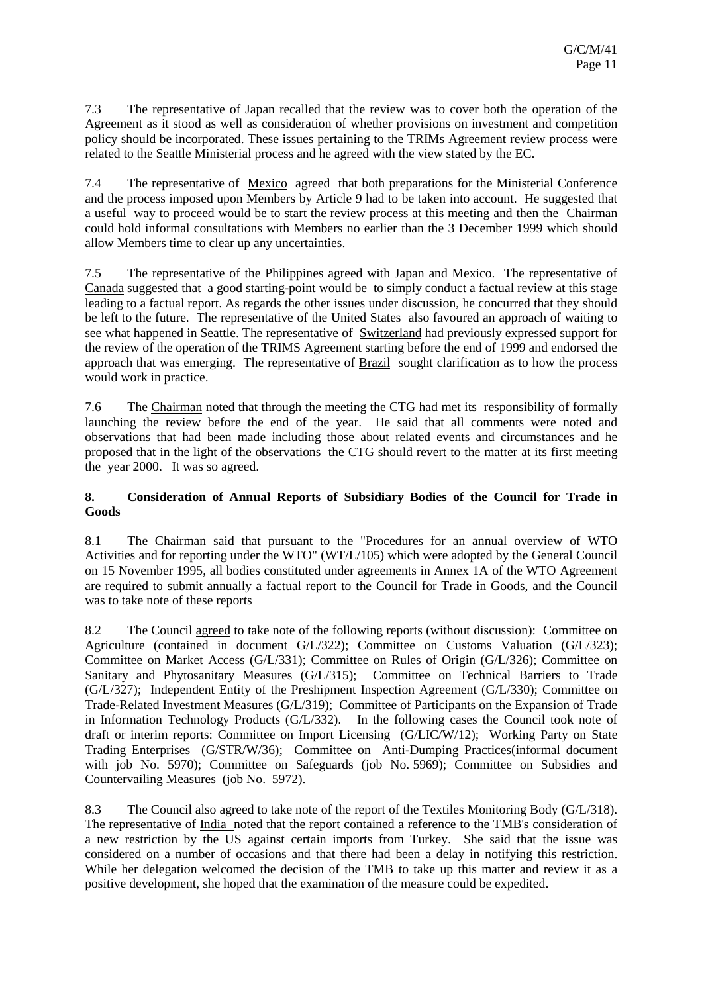7.3 The representative of Japan recalled that the review was to cover both the operation of the Agreement as it stood as well as consideration of whether provisions on investment and competition policy should be incorporated. These issues pertaining to the TRIMs Agreement review process were related to the Seattle Ministerial process and he agreed with the view stated by the EC.

7.4 The representative of Mexico agreed that both preparations for the Ministerial Conference and the process imposed upon Members by Article 9 had to be taken into account. He suggested that a useful way to proceed would be to start the review process at this meeting and then the Chairman could hold informal consultations with Members no earlier than the 3 December 1999 which should allow Members time to clear up any uncertainties.

7.5 The representative of the Philippines agreed with Japan and Mexico. The representative of Canada suggested that a good starting-point would be to simply conduct a factual review at this stage leading to a factual report. As regards the other issues under discussion, he concurred that they should be left to the future. The representative of the United States also favoured an approach of waiting to see what happened in Seattle. The representative of Switzerland had previously expressed support for the review of the operation of the TRIMS Agreement starting before the end of 1999 and endorsed the approach that was emerging. The representative of **Brazil** sought clarification as to how the process would work in practice.

7.6 The Chairman noted that through the meeting the CTG had met its responsibility of formally launching the review before the end of the year. He said that all comments were noted and observations that had been made including those about related events and circumstances and he proposed that in the light of the observations the CTG should revert to the matter at its first meeting the year 2000. It was so agreed.

## **8. Consideration of Annual Reports of Subsidiary Bodies of the Council for Trade in Goods**

8.1 The Chairman said that pursuant to the "Procedures for an annual overview of WTO Activities and for reporting under the WTO" (WT/L/105) which were adopted by the General Council on 15 November 1995, all bodies constituted under agreements in Annex 1A of the WTO Agreement are required to submit annually a factual report to the Council for Trade in Goods, and the Council was to take note of these reports

8.2 The Council agreed to take note of the following reports (without discussion): Committee on Agriculture (contained in document G/L/322); Committee on Customs Valuation (G/L/323); Committee on Market Access (G/L/331); Committee on Rules of Origin (G/L/326); Committee on Sanitary and Phytosanitary Measures (G/L/315); Committee on Technical Barriers to Trade (G/L/327); Independent Entity of the Preshipment Inspection Agreement (G/L/330); Committee on Trade-Related Investment Measures (G/L/319); Committee of Participants on the Expansion of Trade in Information Technology Products (G/L/332). In the following cases the Council took note of draft or interim reports: Committee on Import Licensing (G/LIC/W/12); Working Party on State Trading Enterprises (G/STR/W/36); Committee on Anti-Dumping Practices(informal document with job No. 5970); Committee on Safeguards (job No. 5969); Committee on Subsidies and Countervailing Measures (job No. 5972).

8.3 The Council also agreed to take note of the report of the Textiles Monitoring Body (G/L/318). The representative of India noted that the report contained a reference to the TMB's consideration of a new restriction by the US against certain imports from Turkey. She said that the issue was considered on a number of occasions and that there had been a delay in notifying this restriction. While her delegation welcomed the decision of the TMB to take up this matter and review it as a positive development, she hoped that the examination of the measure could be expedited.